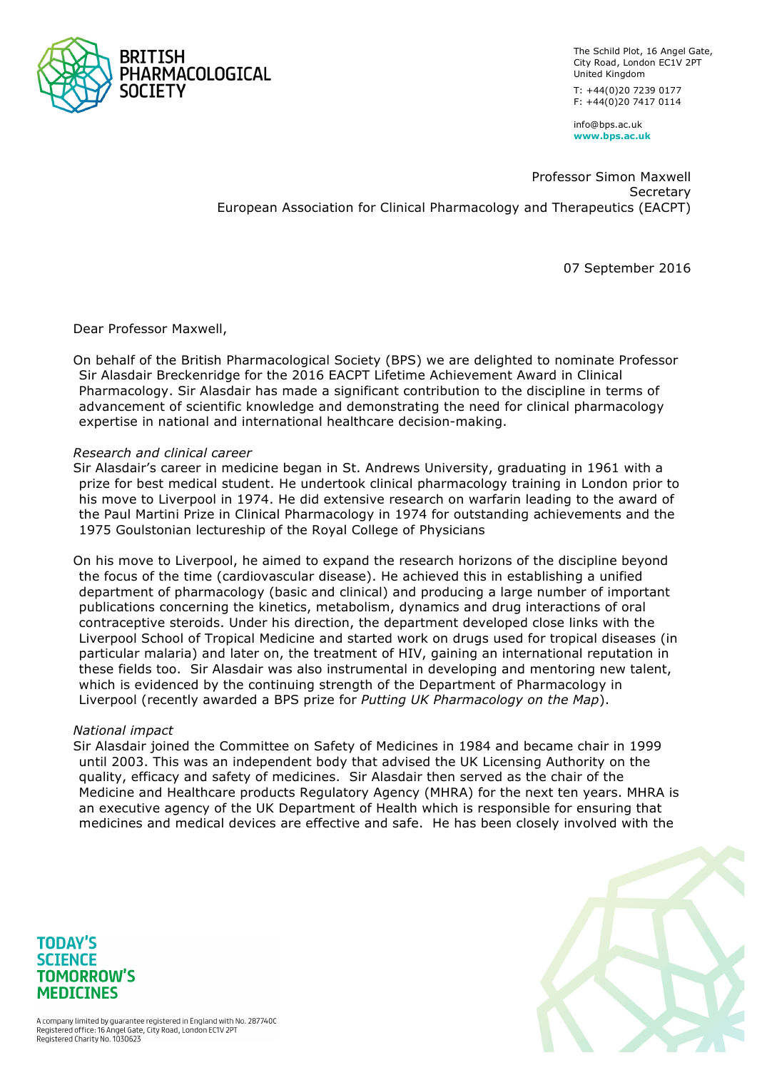

The Schild Plot, 16 Angel Gate, City Road, London EC1V 2PT United Kingdom T: +44(0)20 7239 0177 F: +44(0)20 7417 0114

info@bps.ac.uk **www.bps.ac.uk**

Professor Simon Maxwell Secretary European Association for Clinical Pharmacology and Therapeutics (EACPT)

07 September 2016

Dear Professor Maxwell,

On behalf of the British Pharmacological Society (BPS) we are delighted to nominate Professor Sir Alasdair Breckenridge for the 2016 EACPT Lifetime Achievement Award in Clinical Pharmacology. Sir Alasdair has made a significant contribution to the discipline in terms of advancement of scientific knowledge and demonstrating the need for clinical pharmacology expertise in national and international healthcare decision-making.

## *Research and clinical career*

Sir Alasdair's career in medicine began in St. Andrews University, graduating in 1961 with a prize for best medical student. He undertook clinical pharmacology training in London prior to his move to Liverpool in 1974. He did extensive research on warfarin leading to the award of the Paul Martini Prize in Clinical Pharmacology in 1974 for outstanding achievements and the 1975 Goulstonian lectureship of the Royal College of Physicians

On his move to Liverpool, he aimed to expand the research horizons of the discipline beyond the focus of the time (cardiovascular disease). He achieved this in establishing a unified department of pharmacology (basic and clinical) and producing a large number of important publications concerning the kinetics, metabolism, dynamics and drug interactions of oral contraceptive steroids. Under his direction, the department developed close links with the Liverpool School of Tropical Medicine and started work on drugs used for tropical diseases (in particular malaria) and later on, the treatment of HIV, gaining an international reputation in these fields too. Sir Alasdair was also instrumental in developing and mentoring new talent, which is evidenced by the continuing strength of the Department of Pharmacology in Liverpool (recently awarded a BPS prize for *Putting UK Pharmacology on the Map*).

## *National impact*

Sir Alasdair joined the Committee on Safety of Medicines in 1984 and became chair in 1999 until 2003. This was an independent body that advised the UK Licensing Authority on the quality, efficacy and safety of medicines. Sir Alasdair then served as the chair of the Medicine and Healthcare products Regulatory Agency (MHRA) for the next ten years. MHRA is an executive agency of the UK Department of Health which is responsible for ensuring that medicines and medical devices are effective and safe. He has been closely involved with the



**TODAY'S SCIENCE TOMORROW'S MEDICINES**